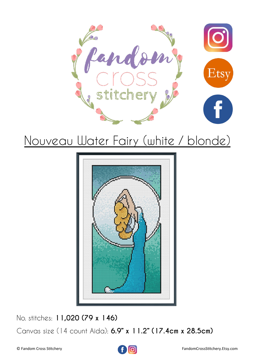



No. stitches: **11,020 (79 x 146)** Canvas size (14 count Aida): **6.9" x 11.2" (17.4cm x 28.5cm)**

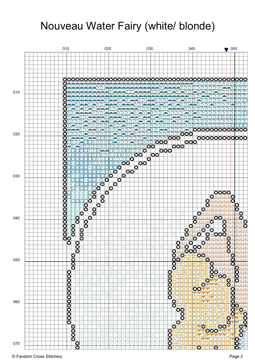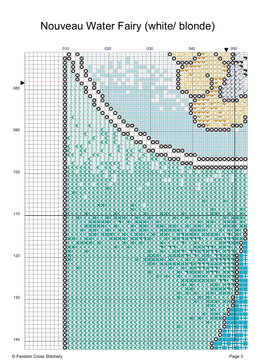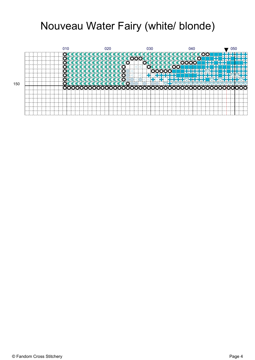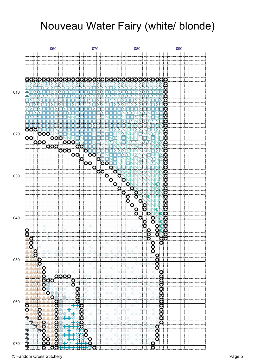

© Fandom Cross Stitchery Page 5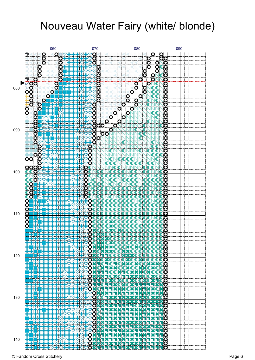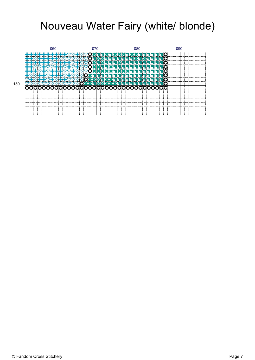

150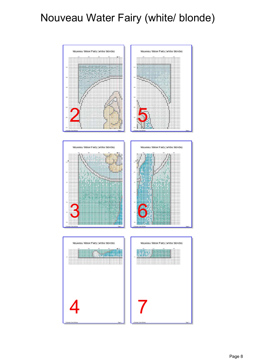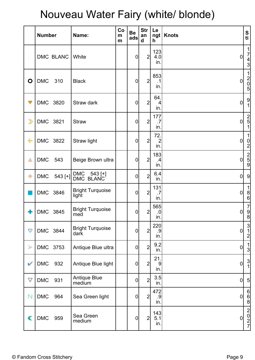|                       | <b>Number</b> |            | Name:                            | Co<br>m<br>m | <b>Be</b><br>ads | <b>Str</b><br>an<br>$\mathbf d$ | Le<br>h.                     | ngt   Knots      | ${\mathsf S}$<br>ti                                         |
|-----------------------|---------------|------------|----------------------------------|--------------|------------------|---------------------------------|------------------------------|------------------|-------------------------------------------------------------|
|                       |               | DMC BLANC  | White                            |              | $\mathbf 0$      | $\overline{2}$                  | 123<br>4.0<br>in.            | $\overline{0}$   | $\frac{1}{7}$<br>$rac{4}{3}$                                |
| O                     | <b>DMC</b>    | 310        | <b>Black</b>                     |              | $\mathbf 0$      | $\overline{2}$                  | 853<br>.1<br>in.             | $\pmb{0}$        | $\mathbf{1}$<br>$\begin{bmatrix} 2 \\ 0 \\ 5 \end{bmatrix}$ |
| $\blacktriangledown$  | DMC 3820      |            | Straw dark                       |              | $\mathbf 0$      | $\overline{2}$                  | 64.<br>$\vert$<br>in.        | $\overline{0}$   | $\frac{9}{1}$                                               |
| $\mathcal{D}$         | DMC 3821      |            | <b>Straw</b>                     |              | $\mathbf 0$      | $\overline{2}$                  | 177<br>.7<br>in.             | $\mathbf 0$      | $\begin{array}{c}\n 2 \\ 5 \\ 1\n \end{array}$              |
| $\leftarrow$          |               | DMC 3822   | Straw light                      |              | $\mathbf 0$      | $\overline{2}$                  | 72.<br>$\overline{2}$<br>in. | $\overline{0}$   | 0 <br>$\mathbf{2}$                                          |
| $\triangle$           | <b>DMC</b>    | 543        | Beige Brown ultra                |              | $\mathbf 0$      | $2\vert$                        | 183<br>$\cdot$<br>in.        | $\mathbf 0$      | $\begin{array}{c}\n 2 \\ 5 \\ \hline\n \end{array}$         |
| ۰                     | <b>DMC</b>    | $543$ [+]] | DMC 543 [+]<br>DMC BLANC         |              | $\mathbf 0$      | $\overline{2}$                  | 6.4<br>in.                   | $\mathbf 0$      | 9                                                           |
|                       | DMC 3846      |            | <b>Bright Turquoise</b><br>light |              | $\mathbf 0$      | $\overline{2}$                  | 131<br>.7<br>in.             | $\overline{0}$   | 1<br>$\frac{8}{6}$                                          |
| ╋                     | DMC 3845      |            | <b>Bright Turquoise</b><br>med   |              | $\overline{0}$   | 2                               | 565<br>.0 <br>in.            | $\overline{0}$   | $\begin{bmatrix} 7 \\ 9 \end{bmatrix}$<br>8                 |
| $\infty$              | DMC 3844      |            | <b>Bright Turquoise</b><br>dark  |              | $\overline{0}$   | $\overline{2}$                  | 220<br>.9<br>in.             | $\overline{0}$   | $\frac{3}{1}$<br>$\overline{2}$                             |
| $\blacktriangleright$ | DMC 3753      |            | Antique Blue ultra               |              | $\mathbf 0$      | $\overline{2}$                  | 9.2<br>in.                   | $\boldsymbol{0}$ | $\frac{1}{3}$                                               |
| V                     | <b>DMC</b>    | 932        | Antique Blue light               |              | $\mathbf 0$      | $2\vert$                        | 21.<br>$\overline{9}$<br>in. | $\boldsymbol{0}$ | $\frac{3}{1}$                                               |
| $\overline{\nabla}$   | <b>DMC</b>    | 931        | <b>Antique Blue</b><br>medium    |              | $\mathbf 0$      | $\overline{2}$                  | 3.5<br>in.                   | $\boldsymbol{0}$ | 5 <sub>5</sub>                                              |
| $\mathsf{N}$          | <b>DMC</b>    | 964        | Sea Green light                  |              | $\pmb{0}$        | 2                               | 472<br>.9<br>in.             | $\pmb{0}$        | $\frac{6}{8}$                                               |
| C                     | DMC           | 959        | Sea Green<br>medium              |              | $\pmb{0}$        | $\overline{2}$                  | 143<br>5.1<br>in.            | $\overline{0}$   | $\begin{bmatrix} 2 \\ 0 \\ 2 \\ 7 \end{bmatrix}$            |